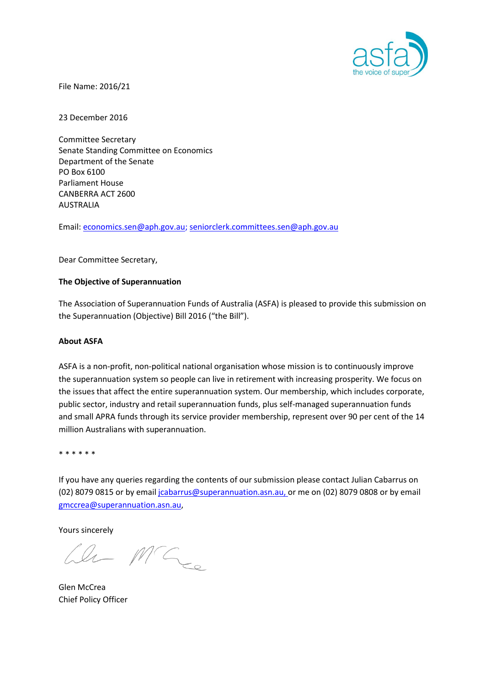

File Name: 2016/21

23 December 2016

Committee Secretary Senate Standing Committee on Economics Department of the Senate PO Box 6100 Parliament House CANBERRA ACT 2600 AUSTRALIA

Email: [economics.sen@aph.gov.au;](mailto:superannuation@treasury.gov.au) seniorclerk.committees.sen@aph.gov.au

Dear Committee Secretary,

### **The Objective of Superannuation**

The Association of Superannuation Funds of Australia (ASFA) is pleased to provide this submission on the Superannuation (Objective) Bill 2016 ("the Bill").

#### **About ASFA**

ASFA is a non-profit, non-political national organisation whose mission is to continuously improve the superannuation system so people can live in retirement with increasing prosperity. We focus on the issues that affect the entire superannuation system. Our membership, which includes corporate, public sector, industry and retail superannuation funds, plus self-managed superannuation funds and small APRA funds through its service provider membership, represent over 90 per cent of the 14 million Australians with superannuation.

\* \* \* \* \* \*

If you have any queries regarding the contents of our submission please contact Julian Cabarrus on (02) 8079 0815 or by emai[l jcabarrus@superannuation.asn.au,](mailto:jcabarrus@superannuation.asn.au) or me on (02) 8079 0808 or by email [gmccrea@superannuation.asn.au,](mailto:gmccrea@superannuation.asn.au)

Yours sincerely

 $ln M C_{ce}$ 

Glen McCrea Chief Policy Officer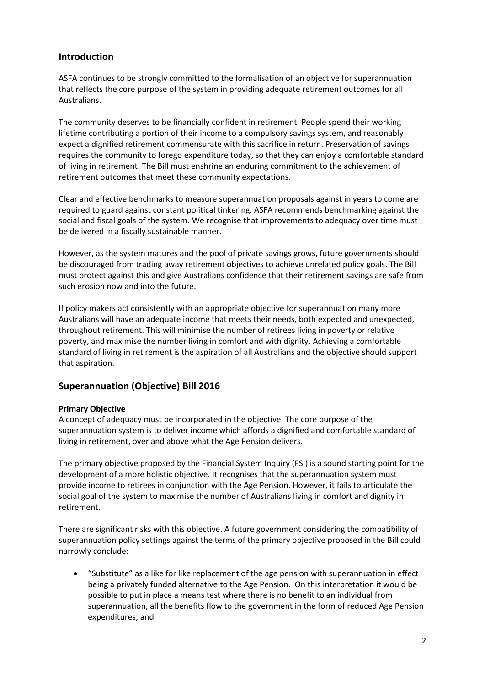# **Introduction**

ASFA continues to be strongly committed to the formalisation of an objective for superannuation that reflects the core purpose of the system in providing adequate retirement outcomes for all Australians.

The community deserves to be financially confident in retirement. People spend their working lifetime contributing a portion of their income to a compulsory savings system, and reasonably expect a dignified retirement commensurate with this sacrifice in return. Preservation of savings requires the community to forego expenditure today, so that they can enjoy a comfortable standard of living in retirement. The Bill must enshrine an enduring commitment to the achievement of retirement outcomes that meet these community expectations.

Clear and effective benchmarks to measure superannuation proposals against in years to come are required to guard against constant political tinkering. ASFA recommends benchmarking against the social and fiscal goals of the system. We recognise that improvements to adequacy over time must be delivered in a fiscally sustainable manner.

However, as the system matures and the pool of private savings grows, future governments should be discouraged from trading away retirement objectives to achieve unrelated policy goals. The Bill must protect against this and give Australians confidence that their retirement savings are safe from such erosion now and into the future.

If policy makers act consistently with an appropriate objective for superannuation many more Australians will have an adequate income that meets their needs, both expected and unexpected, throughout retirement. This will minimise the number of retirees living in poverty or relative poverty, and maximise the number living in comfort and with dignity. Achieving a comfortable standard of living in retirement is the aspiration of all Australians and the objective should support that aspiration.

# **Superannuation (Objective) Bill 2016**

# **Primary Objective**

A concept of adequacy must be incorporated in the objective. The core purpose of the superannuation system is to deliver income which affords a dignified and comfortable standard of living in retirement, over and above what the Age Pension delivers.

The primary objective proposed by the Financial System Inquiry (FSI) is a sound starting point for the development of a more holistic objective. It recognises that the superannuation system must provide income to retirees in conjunction with the Age Pension. However, it fails to articulate the social goal of the system to maximise the number of Australians living in comfort and dignity in retirement.

There are significant risks with this objective. A future government considering the compatibility of superannuation policy settings against the terms of the primary objective proposed in the Bill could narrowly conclude:

 "Substitute" as a like for like replacement of the age pension with superannuation in effect being a privately funded alternative to the Age Pension. On this interpretation it would be possible to put in place a means test where there is no benefit to an individual from superannuation, all the benefits flow to the government in the form of reduced Age Pension expenditures; and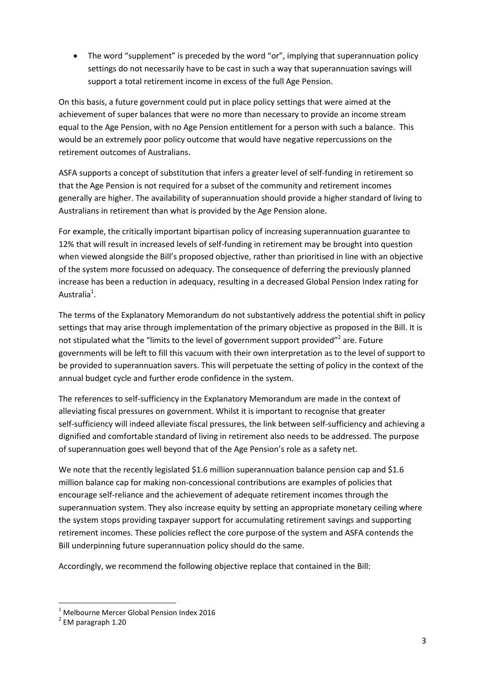• The word "supplement" is preceded by the word "or", implying that superannuation policy settings do not necessarily have to be cast in such a way that superannuation savings will support a total retirement income in excess of the full Age Pension.

On this basis, a future government could put in place policy settings that were aimed at the achievement of super balances that were no more than necessary to provide an income stream equal to the Age Pension, with no Age Pension entitlement for a person with such a balance. This would be an extremely poor policy outcome that would have negative repercussions on the retirement outcomes of Australians.

ASFA supports a concept of substitution that infers a greater level of self-funding in retirement so that the Age Pension is not required for a subset of the community and retirement incomes generally are higher. The availability of superannuation should provide a higher standard of living to Australians in retirement than what is provided by the Age Pension alone.

For example, the critically important bipartisan policy of increasing superannuation guarantee to 12% that will result in increased levels of self-funding in retirement may be brought into question when viewed alongside the Bill's proposed objective, rather than prioritised in line with an objective of the system more focussed on adequacy. The consequence of deferring the previously planned increase has been a reduction in adequacy, resulting in a decreased Global Pension Index rating for Australia<sup>1</sup>.

The terms of the Explanatory Memorandum do not substantively address the potential shift in policy settings that may arise through implementation of the primary objective as proposed in the Bill. It is not stipulated what the "limits to the level of government support provided"<sup>2</sup> are. Future governments will be left to fill this vacuum with their own interpretation as to the level of support to be provided to superannuation savers. This will perpetuate the setting of policy in the context of the annual budget cycle and further erode confidence in the system.

The references to self-sufficiency in the Explanatory Memorandum are made in the context of alleviating fiscal pressures on government. Whilst it is important to recognise that greater self-sufficiency will indeed alleviate fiscal pressures, the link between self-sufficiency and achieving a dignified and comfortable standard of living in retirement also needs to be addressed. The purpose of superannuation goes well beyond that of the Age Pension's role as a safety net.

We note that the recently legislated \$1.6 million superannuation balance pension cap and \$1.6 million balance cap for making non-concessional contributions are examples of policies that encourage self-reliance and the achievement of adequate retirement incomes through the superannuation system. They also increase equity by setting an appropriate monetary ceiling where the system stops providing taxpayer support for accumulating retirement savings and supporting retirement incomes. These policies reflect the core purpose of the system and ASFA contends the Bill underpinning future superannuation policy should do the same.

Accordingly, we recommend the following objective replace that contained in the Bill:

 $1$  Melbourne Mercer Global Pension Index 2016

 $2$  EM paragraph 1.20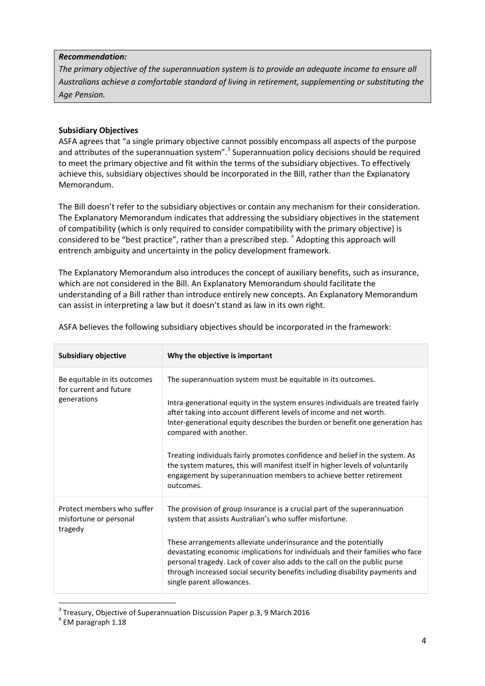#### *Recommendation:*

*The primary objective of the superannuation system is to provide an adequate income to ensure all Australians achieve a comfortable standard of living in retirement, supplementing or substituting the Age Pension.*

### **Subsidiary Objectives**

ASFA agrees that "a single primary objective cannot possibly encompass all aspects of the purpose and attributes of the superannuation system".<sup>3</sup> Superannuation policy decisions should be required to meet the primary objective and fit within the terms of the subsidiary objectives. To effectively achieve this, subsidiary objectives should be incorporated in the Bill, rather than the Explanatory Memorandum.

The Bill doesn't refer to the subsidiary objectives or contain any mechanism for their consideration. The Explanatory Memorandum indicates that addressing the subsidiary objectives in the statement of compatibility (which is only required to consider compatibility with the primary objective) is considered to be "best practice", rather than a prescribed step.  $^4$  Adopting this approach will entrench ambiguity and uncertainty in the policy development framework.

The Explanatory Memorandum also introduces the concept of auxiliary benefits, such as insurance, which are not considered in the Bill. An Explanatory Memorandum should facilitate the understanding of a Bill rather than introduce entirely new concepts. An Explanatory Memorandum can assist in interpreting a law but it doesn't stand as law in its own right.

| <b>Subsidiary objective</b>                                           | Why the objective is important                                                                                                                                                                                                                                                                                                                                                                                                                                                                                                                                                     |
|-----------------------------------------------------------------------|------------------------------------------------------------------------------------------------------------------------------------------------------------------------------------------------------------------------------------------------------------------------------------------------------------------------------------------------------------------------------------------------------------------------------------------------------------------------------------------------------------------------------------------------------------------------------------|
| Be equitable in its outcomes<br>for current and future<br>generations | The superannuation system must be equitable in its outcomes.<br>Intra-generational equity in the system ensures individuals are treated fairly<br>after taking into account different levels of income and net worth.<br>Inter-generational equity describes the burden or benefit one generation has<br>compared with another.<br>Treating individuals fairly promotes confidence and belief in the system. As<br>the system matures, this will manifest itself in higher levels of voluntarily<br>engagement by superannuation members to achieve better retirement<br>outcomes. |
| Protect members who suffer<br>misfortune or personal<br>tragedy       | The provision of group insurance is a crucial part of the superannuation<br>system that assists Australian's who suffer misfortune.<br>These arrangements alleviate underinsurance and the potentially<br>devastating economic implications for individuals and their families who face<br>personal tragedy. Lack of cover also adds to the call on the public purse<br>through increased social security benefits including disability payments and<br>single parent allowances.                                                                                                  |

ASFA believes the following subsidiary objectives should be incorporated in the framework:

 $3$  Treasury, Objective of Superannuation Discussion Paper p.3, 9 March 2016

<sup>4</sup> EM paragraph 1.18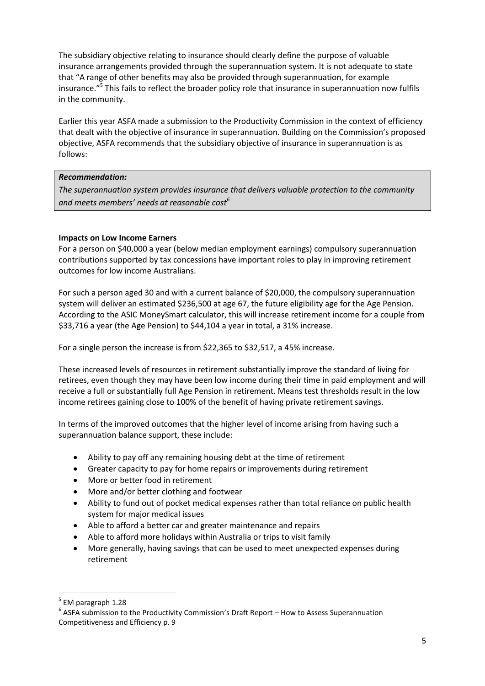The subsidiary objective relating to insurance should clearly define the purpose of valuable insurance arrangements provided through the superannuation system. It is not adequate to state that "A range of other benefits may also be provided through superannuation, for example insurance."<sup>5</sup> This fails to reflect the broader policy role that insurance in superannuation now fulfils in the community.

Earlier this year ASFA made a submission to the Productivity Commission in the context of efficiency that dealt with the objective of insurance in superannuation. Building on the Commission's proposed objective, ASFA recommends that the subsidiary objective of insurance in superannuation is as follows:

# *Recommendation:*

*The superannuation system provides insurance that delivers valuable protection to the community and meets members' needs at reasonable cost<sup>6</sup>*

### **Impacts on Low Income Earners**

For a person on \$40,000 a year (below median employment earnings) compulsory superannuation contributions supported by tax concessions have important roles to play in improving retirement outcomes for low income Australians.

For such a person aged 30 and with a current balance of \$20,000, the compulsory superannuation system will deliver an estimated \$236,500 at age 67, the future eligibility age for the Age Pension. According to the ASIC MoneySmart calculator, this will increase retirement income for a couple from \$33,716 a year (the Age Pension) to \$44,104 a year in total, a 31% increase.

For a single person the increase is from \$22,365 to \$32,517, a 45% increase.

These increased levels of resources in retirement substantially improve the standard of living for retirees, even though they may have been low income during their time in paid employment and will receive a full or substantially full Age Pension in retirement. Means test thresholds result in the low income retirees gaining close to 100% of the benefit of having private retirement savings.

In terms of the improved outcomes that the higher level of income arising from having such a superannuation balance support, these include:

- Ability to pay off any remaining housing debt at the time of retirement
- Greater capacity to pay for home repairs or improvements during retirement
- More or better food in retirement
- More and/or better clothing and footwear
- Ability to fund out of pocket medical expenses rather than total reliance on public health system for major medical issues
- Able to afford a better car and greater maintenance and repairs
- Able to afford more holidays within Australia or trips to visit family
- More generally, having savings that can be used to meet unexpected expenses during retirement

<sup>5</sup> EM paragraph 1.28

 $<sup>6</sup>$  ASFA submission to the Productivity Commission's Draft Report – How to Assess Superannuation</sup> Competitiveness and Efficiency p. 9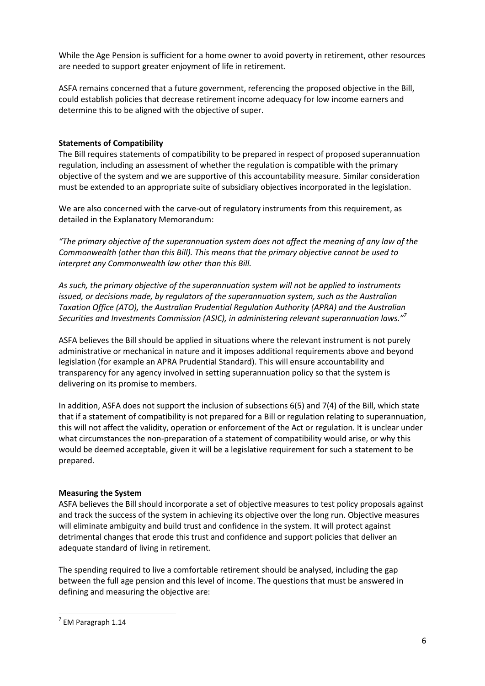While the Age Pension is sufficient for a home owner to avoid poverty in retirement, other resources are needed to support greater enjoyment of life in retirement.

ASFA remains concerned that a future government, referencing the proposed objective in the Bill, could establish policies that decrease retirement income adequacy for low income earners and determine this to be aligned with the objective of super.

# **Statements of Compatibility**

The Bill requires statements of compatibility to be prepared in respect of proposed superannuation regulation, including an assessment of whether the regulation is compatible with the primary objective of the system and we are supportive of this accountability measure. Similar consideration must be extended to an appropriate suite of subsidiary objectives incorporated in the legislation.

We are also concerned with the carve-out of regulatory instruments from this requirement, as detailed in the Explanatory Memorandum:

*"The primary objective of the superannuation system does not affect the meaning of any law of the Commonwealth (other than this Bill). This means that the primary objective cannot be used to interpret any Commonwealth law other than this Bill.*

*As such, the primary objective of the superannuation system will not be applied to instruments issued, or decisions made, by regulators of the superannuation system, such as the Australian Taxation Office (ATO), the Australian Prudential Regulation Authority (APRA) and the Australian Securities and Investments Commission (ASIC), in administering relevant superannuation laws."<sup>7</sup>*

ASFA believes the Bill should be applied in situations where the relevant instrument is not purely administrative or mechanical in nature and it imposes additional requirements above and beyond legislation (for example an APRA Prudential Standard). This will ensure accountability and transparency for any agency involved in setting superannuation policy so that the system is delivering on its promise to members.

In addition, ASFA does not support the inclusion of subsections 6(5) and 7(4) of the Bill, which state that if a statement of compatibility is not prepared for a Bill or regulation relating to superannuation, this will not affect the validity, operation or enforcement of the Act or regulation. It is unclear under what circumstances the non-preparation of a statement of compatibility would arise, or why this would be deemed acceptable, given it will be a legislative requirement for such a statement to be prepared.

# **Measuring the System**

ASFA believes the Bill should incorporate a set of objective measures to test policy proposals against and track the success of the system in achieving its objective over the long run. Objective measures will eliminate ambiguity and build trust and confidence in the system. It will protect against detrimental changes that erode this trust and confidence and support policies that deliver an adequate standard of living in retirement.

The spending required to live a comfortable retirement should be analysed, including the gap between the full age pension and this level of income. The questions that must be answered in defining and measuring the objective are:

**<sup>.</sup>**  $<sup>7</sup>$  EM Paragraph 1.14</sup>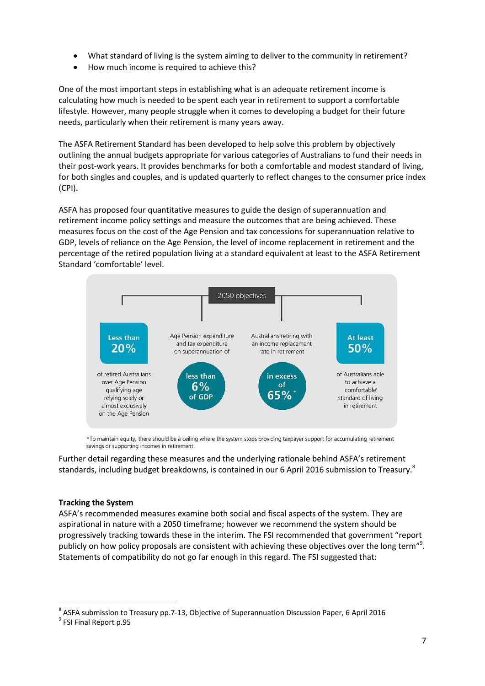- What standard of living is the system aiming to deliver to the community in retirement?
- How much income is required to achieve this?

One of the most important steps in establishing what is an adequate retirement income is calculating how much is needed to be spent each year in retirement to support a comfortable lifestyle. However, many people struggle when it comes to developing a budget for their future needs, particularly when their retirement is many years away.

The ASFA Retirement Standard has been developed to help solve this problem by objectively outlining the annual budgets appropriate for various categories of Australians to fund their needs in their post-work years. It provides benchmarks for both a comfortable and modest standard of living, for both singles and couples, and is updated quarterly to reflect changes to the consumer price index (CPI).

ASFA has proposed four quantitative measures to guide the design of superannuation and retirement income policy settings and measure the outcomes that are being achieved. These measures focus on the cost of the Age Pension and tax concessions for superannuation relative to GDP, levels of reliance on the Age Pension, the level of income replacement in retirement and the percentage of the retired population living at a standard equivalent at least to the ASFA Retirement Standard 'comfortable' level.



\*To maintain equity, there should be a ceiling where the system stops providing taxpayer support for accumulating retirement savings or supporting incomes in retirement.

Further detail regarding these measures and the underlying rationale behind ASFA's retirement standards, including budget breakdowns, is contained in our 6 April 2016 submission to Treasury.<sup>8</sup>

# **Tracking the System**

ASFA's recommended measures examine both social and fiscal aspects of the system. They are aspirational in nature with a 2050 timeframe; however we recommend the system should be progressively tracking towards these in the interim. The FSI recommended that government "report publicly on how policy proposals are consistent with achieving these objectives over the long term"<sup>9</sup>. Statements of compatibility do not go far enough in this regard. The FSI suggested that:

<sup>&</sup>lt;sup>8</sup> ASFA submission to Treasury pp.7-13, Objective of Superannuation Discussion Paper, 6 April 2016

<sup>&</sup>lt;sup>9</sup> FSI Final Report p.95